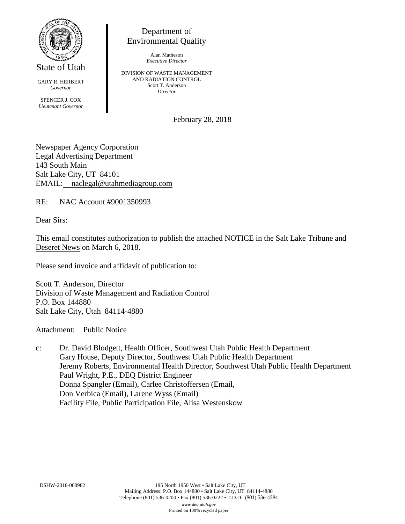

State of Utah

GARY R. HERBERT *Governor* SPENCER J. COX *Lieutenant Governor*

Department of Environmental Quality

> Alan Matheson *Executive Director*

DIVISION OF WASTE MANAGEMENT AND RADIATION CONTROL Scott T. Anderson *Director*

February 28, 2018

Newspaper Agency Corporation Legal Advertising Department 143 South Main Salt Lake City, UT 84101 EMAIL: naclegal@utahmediagroup.com

RE: NAC Account #9001350993

Dear Sirs:

This email constitutes authorization to publish the attached NOTICE in the Salt Lake Tribune and Deseret News on March 6, 2018.

Please send invoice and affidavit of publication to:

Scott T. Anderson, Director Division of Waste Management and Radiation Control P.O. Box 144880 Salt Lake City, Utah 84114-4880

Attachment: Public Notice

c: Dr. David Blodgett, Health Officer, Southwest Utah Public Health Department Gary House, Deputy Director, Southwest Utah Public Health Department Jeremy Roberts, Environmental Health Director, Southwest Utah Public Health Department Paul Wright, P.E., DEQ District Engineer Donna Spangler (Email), Carlee Christoffersen (Email, Don Verbica (Email), Larene Wyss (Email) Facility File, Public Participation File, Alisa Westenskow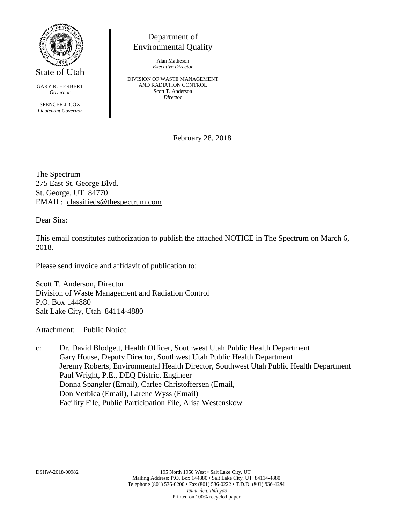

State of Utah

GARY R. HERBERT *Governor*

SPENCER J. COX *Lieutenant Governor*

## Department of Environmental Quality

Alan Matheson *Executive Director*

DIVISION OF WASTE MANAGEMENT AND RADIATION CONTROL Scott T. Anderson *Director*

February 28, 2018

The Spectrum 275 East St. George Blvd. St. George, UT 84770 EMAIL: [classifieds@thespectrum.com](mailto:classifieds@thespectrum.com)

Dear Sirs:

This email constitutes authorization to publish the attached NOTICE in The Spectrum on March 6, 2018.

Please send invoice and affidavit of publication to:

Scott T. Anderson, Director Division of Waste Management and Radiation Control P.O. Box 144880 Salt Lake City, Utah 84114-4880

Attachment: Public Notice

c: Dr. David Blodgett, Health Officer, Southwest Utah Public Health Department Gary House, Deputy Director, Southwest Utah Public Health Department Jeremy Roberts, Environmental Health Director, Southwest Utah Public Health Department Paul Wright, P.E., DEQ District Engineer Donna Spangler (Email), Carlee Christoffersen (Email, Don Verbica (Email), Larene Wyss (Email) Facility File, Public Participation File, Alisa Westenskow